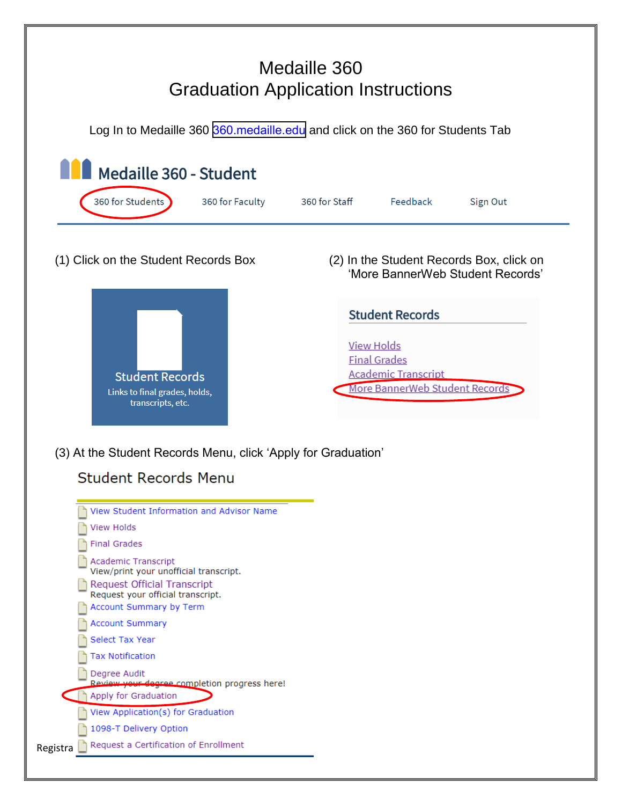# Medaille 360 Graduation Application Instructions

Log In to Medaille 360 [360.medaille.edu](https://360.medaille.edu) and click on the 360 for Students Tab



(3) At the Student Records Menu, click 'Apply for Graduation'

## Student Records Menu